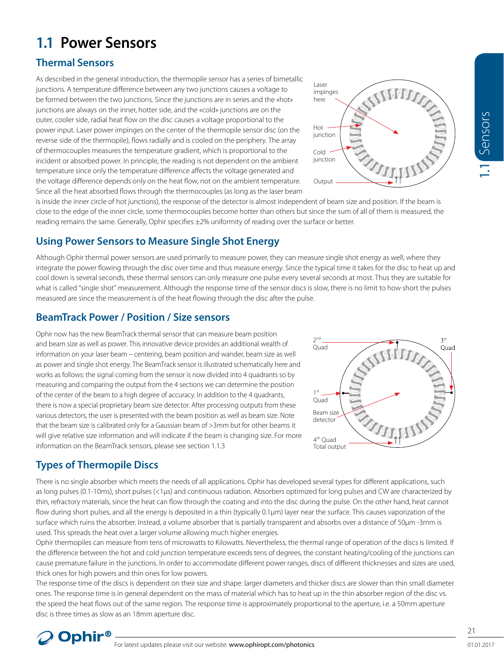# **1.1 Power Sensors**

# **Thermal Sensors**

As described in the general introduction, the thermopile sensor has a series of bimetallic junctions. A temperature difference between any two junctions causes a voltage to be formed between the two junctions. Since the junctions are in series and the «hot» junctions are always on the inner, hotter side, and the «cold» junctions are on the outer, cooler side, radial heat flow on the disc causes a voltage proportional to the power input. Laser power impinges on the center of the thermopile sensor disc (on the reverse side of the thermopile), flows radially and is cooled on the periphery. The array of thermocouples measures the temperature gradient, which is proportional to the incident or absorbed power. In principle, the reading is not dependent on the ambient temperature since only the temperature difference affects the voltage generated and the voltage difference depends only on the heat flow, not on the ambient temperature. Since all the heat absorbed flows through the thermocouples (as long as the laser beam



is inside the inner circle of hot junctions), the response of the detector is almost independent of beam size and position. If the beam is close to the edge of the inner circle, some thermocouples become hotter than others but since the sum of all of them is measured, the reading remains the same. Generally, Ophir specifies ±2% uniformity of reading over the surface or better.

# **Using Power Sensors to Measure Single Shot Energy**

Although Ophir thermal power sensors are used primarily to measure power, they can measure single shot energy as well, where they integrate the power flowing through the disc over time and thus measure energy. Since the typical time it takes for the disc to heat up and cool down is several seconds, these thermal sensors can only measure one pulse every several seconds at most. Thus they are suitable for what is called "single shot" measurement. Although the response time of the sensor discs is slow, there is no limit to how short the pulses measured are since the measurement is of the heat flowing through the disc after the pulse.

## **BeamTrack Power / Position / Size sensors**

Ophir now has the new BeamTrack thermal sensor that can measure beam position and beam size as well as power. This innovative device provides an additional wealth of information on your laser beam – centering, beam position and wander, beam size as well as power and single shot energy. The BeamTrack sensor is illustrated schematically here and works as follows: the signal coming from the sensor is now divided into 4 quadrants so by measuring and comparing the output from the 4 sections we can determine the position of the center of the beam to a high degree of accuracy. In addition to the 4 quadrants, there is now a special proprietary beam size detector. After processing outputs from these various detectors, the user is presented with the beam position as well as beam size. Note that the beam size is calibrated only for a Gaussian beam of >3mm but for other beams it will give relative size information and will indicate if the beam is changing size. For more information on the BeamTrack sensors, please see section 1.1.3



# **Types of Thermopile Discs**

There is no single absorber which meets the needs of all applications. Ophir has developed several types for different applications, such as long pulses (0.1-10ms), short pulses (<1µs) and continuous radiation. Absorbers optimized for long pulses and CW are characterized by thin, refractory materials, since the heat can flow through the coating and into the disc during the pulse. On the other hand, heat cannot flow during short pulses, and all the energy is deposited in a thin (typically 0.1µm) layer near the surface. This causes vaporization of the surface which ruins the absorber. Instead, a volume absorber that is partially transparent and absorbs over a distance of 50μm -3mm is used. This spreads the heat over a larger volume allowing much higher energies.

Ophir thermopiles can measure from tens of microwatts to Kilowatts. Nevertheless, the thermal range of operation of the discs is limited. If the difference between the hot and cold junction temperature exceeds tens of degrees, the constant heating/cooling of the junctions can cause premature failure in the junctions. In order to accommodate different power ranges, discs of different thicknesses and sizes are used, thick ones for high powers and thin ones for low powers.

The response time of the discs is dependent on their size and shape: larger diameters and thicker discs are slower than thin small diameter ones. The response time is in general dependent on the mass of material which has to heat up in the thin absorber region of the disc vs. the speed the heat flows out of the same region. The response time is approximately proportional to the aperture, i.e. a 50mm aperture disc is three times as slow as an 18mm aperture disc.

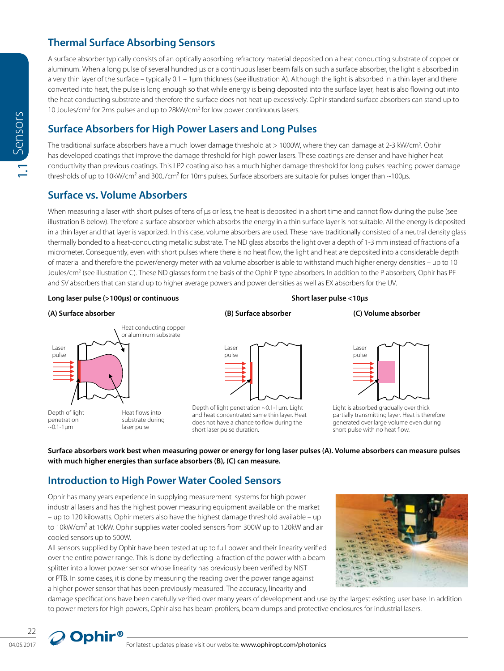### **Thermal Surface Absorbing Sensors**

A surface absorber typically consists of an optically absorbing refractory material deposited on a heat conducting substrate of copper or aluminum. When a long pulse of several hundred us or a continuous laser beam falls on such a surface absorber, the light is absorbed in a very thin layer of the surface – typically 0.1 – 1µm thickness (see illustration A). Although the light is absorbed in a thin layer and there converted into heat, the pulse is long enough so that while energy is being deposited into the surface layer, heat is also flowing out into the heat conducting substrate and therefore the surface does not heat up excessively. Ophir standard surface absorbers can stand up to 10 Joules/cm<sup>2</sup> for 2ms pulses and up to 28kW/cm<sup>2</sup> for low power continuous lasers.

### **Surface Absorbers for High Power Lasers and Long Pulses**

The traditional surface absorbers have a much lower damage threshold at > 1000W, where they can damage at 2-3 kW/cm<sup>2</sup>. Ophir has developed coatings that improve the damage threshold for high power lasers. These coatings are denser and have higher heat conductivity than previous coatings. This LP2 coating also has a much higher damage threshold for long pulses reaching power damage thresholds of up to 10kW/cm<sup>2</sup> and 300J/cm<sup>2</sup> for 10ms pulses. Surface absorbers are suitable for pulses longer than  $\sim$ 100µs.

### **Surface vs. Volume Absorbers**

04.02.1.1 For the mean time of the mean of the mean the state of the state is the mean of the state of the state of the state of the state of the state of the state of the state of the state of the state of the state of t When measuring a laser with short pulses of tens of us or less, the heat is deposited in a short time and cannot flow during the pulse (see illustration B below). Therefore a surface absorber which absorbs the energy in a thin surface layer is not suitable. All the energy is deposited in a thin layer and that layer is vaporized. In this case, volume absorbers are used. These have traditionally consisted of a neutral density glass thermally bonded to a heat-conducting metallic substrate. The ND glass absorbs the light over a depth of 1-3 mm instead of fractions of a micrometer. Consequently, even with short pulses where there is no heat flow, the light and heat are deposited into a considerable depth of material and therefore the power/energy meter with aa volume absorber is able to withstand much higher energy densities – up to 10 Joules/cm<sup>2</sup> (see illustration C). These ND glasses form the basis of the Ophir P type absorbers. In addition to the P absorbers, Ophir has PF and SV absorbers that can stand up to higher average powers and power densities as well as EX absorbers for the UV.

### **Long laser pulse (>100µs) or continuous Short laser pulse <10µs**

### **(A) Surface absorber (B) Surface absorber (C) Volume absorber**





Depth of light penetration ~0.1-1µm. Light and heat concentrated same thin layer. Heat does not have a chance to flow during the short laser pulse duration.





Light is absorbed gradually over thick partially transmitting layer. Heat is therefore generated over large volume even during short pulse with no heat flow.

### **Surface absorbers work best when measuring power or energy for long laser pulses (A). Volume absorbers can measure pulses with much higher energies than surface absorbers (B), (C) can measure.**

### **Introduction to High Power Water Cooled Sensors**

Ophir has many years experience in supplying measurement systems for high power industrial lasers and has the highest power measuring equipment available on the market – up to 120 kilowatts. Ophir meters also have the highest damage threshold available – up to 10kW/cm<sup>2</sup> at 10kW. Ophir supplies water cooled sensors from 300W up to 120kW and air cooled sensors up to 500W.

All sensors supplied by Ophir have been tested at up to full power and their linearity verified over the entire power range. This is done by deflecting a fraction of the power with a beam splitter into a lower power sensor whose linearity has previously been verified by NIST or PTB. In some cases, it is done by measuring the reading over the power range against a higher power sensor that has been previously measured. The accuracy, linearity and



damage specifications have been carefully verified over many years of development and use by the largest existing user base. In addition to power meters for high powers, Ophir also has beam profilers, beam dumps and protective enclosures for industrial lasers.

22